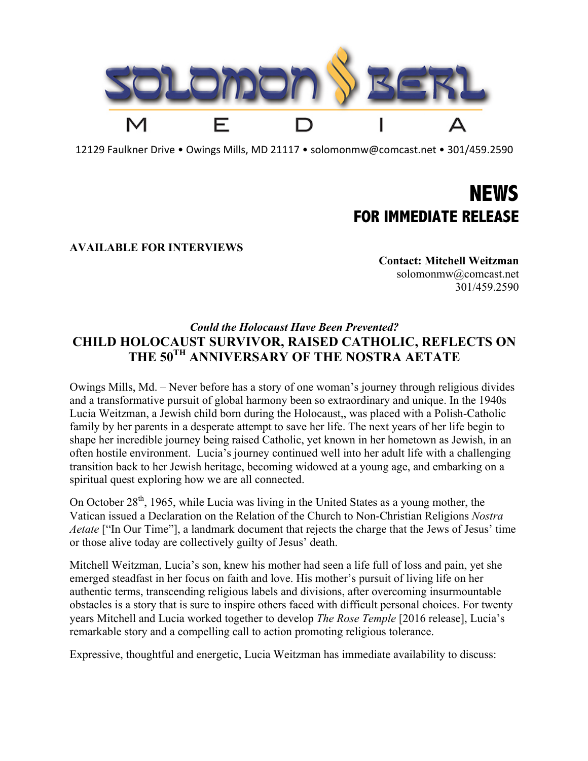

12129 Faulkner Drive • Owings Mills, MD 21117 • solomonmw@comcast.net • 301/459.2590

## **NEWS FOR IMMEDIATE RELEASE**

## **AVAILABLE FOR INTERVIEWS**

**Contact: Mitchell Weitzman** solomonmw@comcast.net 301/459.2590

## *Could the Holocaust Have Been Prevented?* **CHILD HOLOCAUST SURVIVOR, RAISED CATHOLIC, REFLECTS ON THE 50TH ANNIVERSARY OF THE NOSTRA AETATE**

Owings Mills, Md. – Never before has a story of one woman's journey through religious divides and a transformative pursuit of global harmony been so extraordinary and unique. In the 1940s Lucia Weitzman, a Jewish child born during the Holocaust,, was placed with a Polish-Catholic family by her parents in a desperate attempt to save her life. The next years of her life begin to shape her incredible journey being raised Catholic, yet known in her hometown as Jewish, in an often hostile environment. Lucia's journey continued well into her adult life with a challenging transition back to her Jewish heritage, becoming widowed at a young age, and embarking on a spiritual quest exploring how we are all connected.

On October  $28<sup>th</sup>$ , 1965, while Lucia was living in the United States as a young mother, the Vatican issued a Declaration on the Relation of the Church to Non-Christian Religions *Nostra Aetate* ["In Our Time"], a landmark document that rejects the charge that the Jews of Jesus' time or those alive today are collectively guilty of Jesus' death.

Mitchell Weitzman, Lucia's son, knew his mother had seen a life full of loss and pain, yet she emerged steadfast in her focus on faith and love. His mother's pursuit of living life on her authentic terms, transcending religious labels and divisions, after overcoming insurmountable obstacles is a story that is sure to inspire others faced with difficult personal choices. For twenty years Mitchell and Lucia worked together to develop *The Rose Temple* [2016 release], Lucia's remarkable story and a compelling call to action promoting religious tolerance.

Expressive, thoughtful and energetic, Lucia Weitzman has immediate availability to discuss: